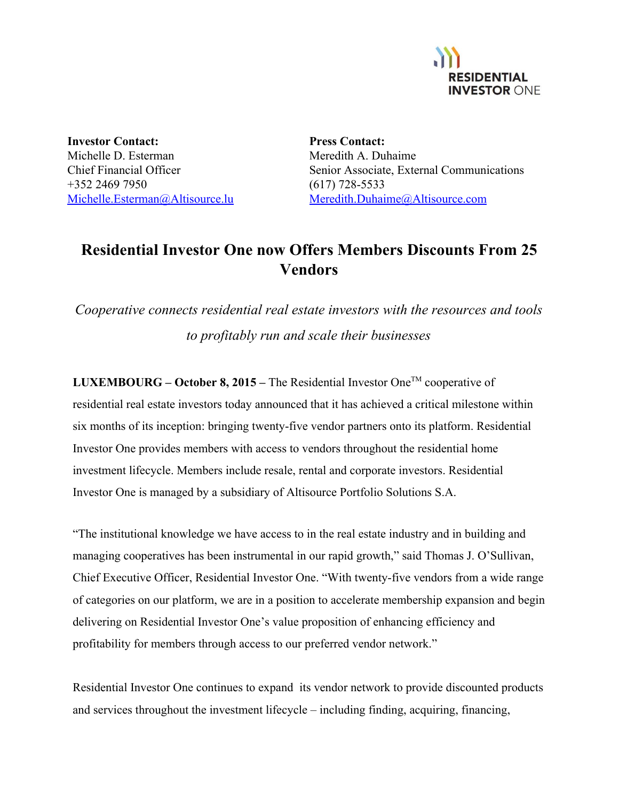

**Investor Contact:** Michelle D. Esterman Chief Financial Officer +352 2469 7950 [Michelle.Esterman@Altisource.lu](mailto:Michelle.Esterman@Altisource.lu)

**Press Contact:** Meredith A. Duhaime Senior Associate, External Communications  $(617)$  728-5533 [Meredith.Duhaime@Altisource.com](mailto:meredith.duhaime@altisource.com)

## **Residential Investor One now Offers Members Discounts From 25 Vendors**

*Cooperative connects residential real estate investors with the resources and tools to profitably run and scale their businesses*

**LUXEMBOURG – October 8, 2015 –** The Residential Investor One TM cooperative of residential real estate investors today announced that it has achieved a critical milestone within six months of its inception: bringing twenty-five vendor partners onto its platform. Residential Investor One provides members with access to vendors throughout the residential home investment lifecycle. Members include resale, rental and corporate investors. Residential Investor One is managed by a subsidiary of Altisource Portfolio Solutions S.A.

"The institutional knowledge we have access to in the real estate industry and in building and managing cooperatives has been instrumental in our rapid growth," said Thomas J. O'Sullivan, Chief Executive Officer, Residential Investor One. "With twenty-five vendors from a wide range of categories on our platform, we are in a position to accelerate membership expansion and begin delivering on Residential Investor One's value proposition of enhancing efficiency and profitability for members through access to our preferred vendor network."

Residential Investor One continues to expand its vendor network to provide discounted products and services throughout the investment lifecycle – including finding, acquiring, financing,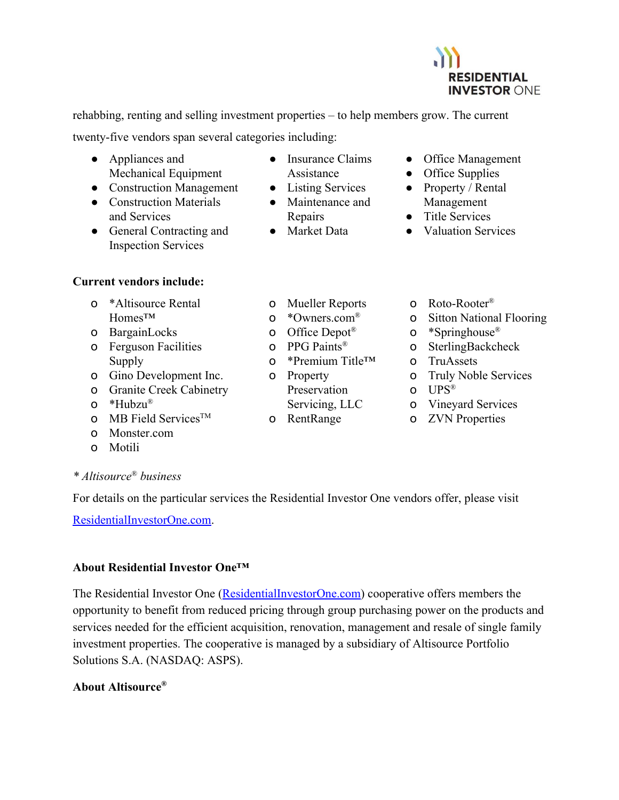

rehabbing, renting and selling investment properties – to help members grow. The current

twenty-five vendors span several categories including:

- Appliances and Mechanical Equipment
- Construction Management
- Construction Materials and Services
- General Contracting and Inspection Services
- **Current vendors include:**
	- o \*Altisource Rental Homes™
	- o BargainLocks
	- o Ferguson Facilities Supply
	- o Gino Development Inc.
	- o Granite Creek Cabinetry
	- o \*Hubzu ®
	- **o** MB Field Services<sup>TM</sup>
	- o Monster.com
	- o Motili
- *\* Altisource* ® *business*

For details on the particular services the Residential Investor One vendors offer, please visit

[ResidentialInvestorOne.com.](http://residentialinvestorone.com/?utm_campaign=ASPS_RIOMomentum&utm_source=PR&utm_medium=PR&utm_content=body%7Cna%7Ctext%7C1)

## **About Residential Investor One™**

The Residential Investor One ([ResidentialInvestorOne.com\)](http://www.residentialinvestorone.com/?utm_campaign=ASPS_RIOMomentum&utm_source=PR&utm_medium=PR&utm_content=footer%7Cna%7Ctext%7C1) cooperative offers members the opportunity to benefit from reduced pricing through group purchasing power on the products and services needed for the efficient acquisition, renovation, management and resale of single family investment properties. The cooperative is managed by a subsidiary of Altisource Portfolio Solutions S.A. (NASDAQ: ASPS).

## **About Altisource®**

- Insurance Claims Assistance
- Listing Services
- Maintenance and Repairs
- Market Data
- Office Management
- Office Supplies
- Property / Rental Management
- Title Services
- Valuation Services
- o Mueller Reports
- o \*Owners.com®
- o Office Depot<sup>®</sup>
- o PPG Paints ®
- o \*Premium Title™
- o Property Preservation
	- Servicing, LLC
- o RentRange
- o Roto-Rooter<sup>®</sup>
- o Sitton National Flooring
- o \*Springhouse ®
- o SterlingBackcheck
- o TruAssets
- o Truly Noble Services
- o UPS ®
- o Vineyard Services
- o ZVN Properties